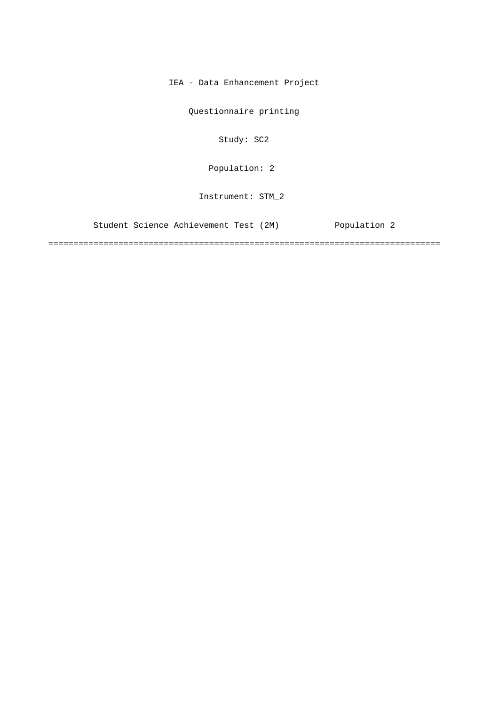IEA - Data Enhancement Project

Questionnaire printing

Study: SC2

[Population: 2](#page-1-0) 

Instrument: STM\_2

[Student Science Achievement Test \(2M\) Population 2](#page-1-0)

==============================================================================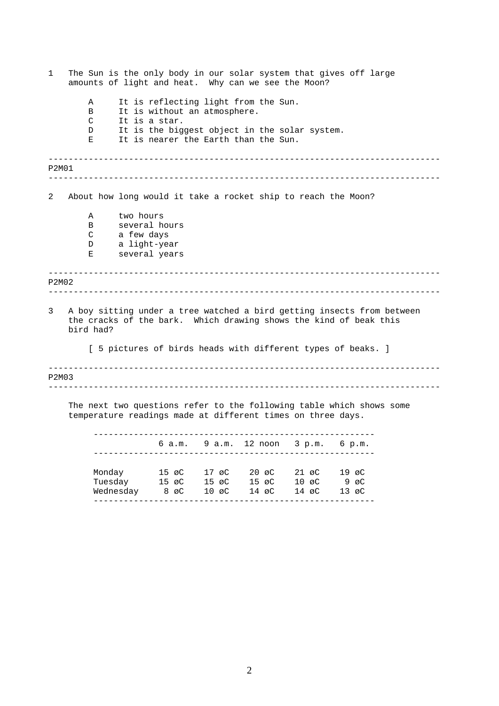<span id="page-1-0"></span>

| 1 | The Sun is the only body in our solar system that gives off large<br>amounts of light and heat. Why can we see the Moon?                                 |              |                                               |       |                                                                                                                               |                   |                                                                      |  |  |
|---|----------------------------------------------------------------------------------------------------------------------------------------------------------|--------------|-----------------------------------------------|-------|-------------------------------------------------------------------------------------------------------------------------------|-------------------|----------------------------------------------------------------------|--|--|
|   | A<br>B<br>C<br>D<br>Е                                                                                                                                    |              | It is without an atmosphere.<br>It is a star. |       | It is reflecting light from the Sun.<br>It is the biggest object in the solar system.<br>It is nearer the Earth than the Sun. |                   |                                                                      |  |  |
|   | P2M01                                                                                                                                                    |              |                                               |       |                                                                                                                               |                   |                                                                      |  |  |
| 2 |                                                                                                                                                          |              |                                               |       | About how long would it take a rocket ship to reach the Moon?                                                                 |                   |                                                                      |  |  |
|   | Α                                                                                                                                                        |              | two hours                                     |       |                                                                                                                               |                   |                                                                      |  |  |
|   | B                                                                                                                                                        |              | several hours                                 |       |                                                                                                                               |                   |                                                                      |  |  |
|   | $\mathbb C$                                                                                                                                              | a few days   |                                               |       |                                                                                                                               |                   |                                                                      |  |  |
|   | D                                                                                                                                                        | a light-year |                                               |       |                                                                                                                               |                   |                                                                      |  |  |
|   | Е                                                                                                                                                        |              | several years                                 |       |                                                                                                                               |                   |                                                                      |  |  |
|   | P2M02                                                                                                                                                    |              |                                               |       |                                                                                                                               |                   |                                                                      |  |  |
| 3 | A boy sitting under a tree watched a bird getting insects from between<br>the cracks of the bark. Which drawing shows the kind of beak this<br>bird had? |              |                                               |       |                                                                                                                               |                   |                                                                      |  |  |
|   | [ 5 pictures of birds heads with different types of beaks. ]                                                                                             |              |                                               |       |                                                                                                                               |                   |                                                                      |  |  |
|   | P2M03                                                                                                                                                    |              |                                               |       |                                                                                                                               |                   |                                                                      |  |  |
|   |                                                                                                                                                          |              |                                               |       | temperature readings made at different times on three days.                                                                   |                   | The next two questions refer to the following table which shows some |  |  |
|   |                                                                                                                                                          |              |                                               |       | 6 a.m. 9 a.m. 12 noon 3 p.m. 6 p.m.                                                                                           |                   |                                                                      |  |  |
|   |                                                                                                                                                          | Monday       | $15 \text{ } \varnothing$ C                   | 17 øC |                                                                                                                               | 20 øC 21 øC 19 øC |                                                                      |  |  |
|   |                                                                                                                                                          |              | Tuesday 15 øC                                 | 15 øC |                                                                                                                               | 15 øC 10 øC 9 øC  |                                                                      |  |  |
|   |                                                                                                                                                          | Wednesday    | 8 øC                                          | 10 øC | 14 øC                                                                                                                         | 14 øC             | 13 øC                                                                |  |  |

--------------------------------------------------------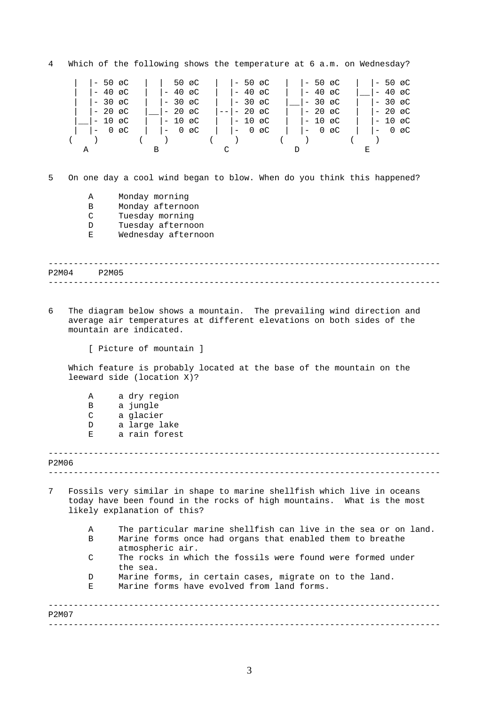------------------------------------------------------------------------------  $-$ ------------------------------------------------------------------------------ ------------------------------------------------------------------------------ ------------------------------------------------------------------------------ ------------------------------------------------------------------------------ 4 Which of the following shows the temperature at 6 a.m. on Wednesday? |- 50 øC | | 50 øC | |- 50 øC | |- 50 øC | |- 50 øC | |- 50 øC | |- 50 øC | |- 50 øC | |- 40 øC | |- 30 øC | |- 30 øC | |- 30 øC | |- 30 øC | |- 30 øC | |- 30 øC | |- 30 øC | |- 30 øC | |- 30 øC | |- 30 øC | |- 30 øC | |-  $\begin{vmatrix} - & 40 & \text{aC} \\ - & 30 & \text{aC} \\ 20 & \text{aC} \end{vmatrix}$  +  $\begin{vmatrix} - & 40 & \text{aC} \\ - & 30 & \text{aC} \\ 0 & 0 & \text{aC} \end{vmatrix}$  +  $\begin{vmatrix} - & 30 & \text{aC} \\ - & 30 & \text{aC} \\ - & 30 & \text{aC} \end{vmatrix}$  +  $\begin{vmatrix} - & 30 & \text{aC} \\ - & 40 & \text{aC} \\ - & 30 & \text{aC} \end{vmatrix}$  +  $\begin$ | |- 30 øC | |- 30 øC | |- 30 øC |\_\_|- 30 øC | |- 30 øC | |- 20 øC |\_\_|- 20 øC |--|- 20 øC | |- 20 øC | |- 20 øC |\_\_|- 10 øC | |- 10 øC | |- 10 øC | |- 10 øC | |- 10 øC | |- 0 øC | |- 0 øC | |- 0 øC | |- 0 øC | |- 0 øC ( ) ( ) ( ) ( ) ( ) A B C D E 5 On one day a cool wind began to blow. When do you think this happened? A Monday morning B Monday afternoon C Tuesday morning D Tuesday afternoon E Wednesday afternoon P2M04 P2M05 6 The diagram below shows a mountain. The prevailing wind direction and average air temperatures at different elevations on both sides of the mountain are indicated. [ Picture of mountain ] Which feature is probably located at the base of the mountain on the leeward side (location X)? A a dry region B a jungle C a glacier D a large lake E a rain forest P2M06 7 Fossils very similar in shape to marine shellfish which live in oceans today have been found in the rocks of high mountains. What is the most likely explanation of this? A The particular marine shellfish can live in the sea or on land. B Marine forms once had organs that enabled them to breathe atmospheric air. C The rocks in which the fossils were found were formed under the sea. D Marine forms, in certain cases, migrate on to the land. E Marine forms have evolved from land forms. P2M07

3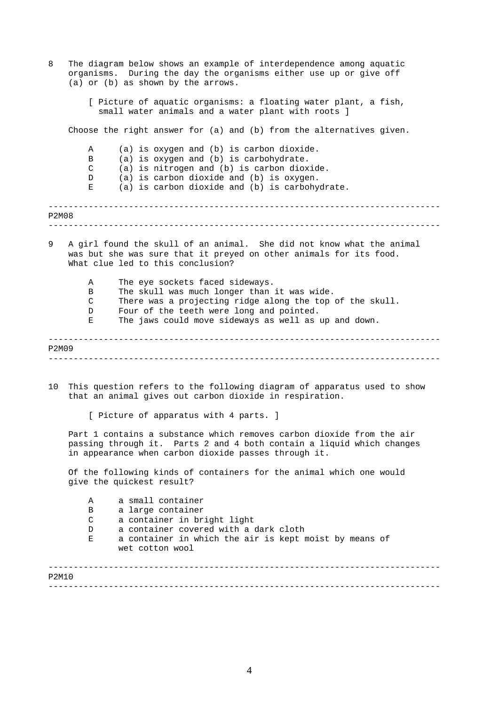| 8     | The diagram below shows an example of interdependence among aquatic<br>organisms. During the day the organisms either use up or give off<br>(a) or (b) as shown by the arrows.                         |                                                                                                                                                                                                                                                |  |  |  |  |  |  |
|-------|--------------------------------------------------------------------------------------------------------------------------------------------------------------------------------------------------------|------------------------------------------------------------------------------------------------------------------------------------------------------------------------------------------------------------------------------------------------|--|--|--|--|--|--|
|       |                                                                                                                                                                                                        | [ Picture of aquatic organisms: a floating water plant, a fish,<br>small water animals and a water plant with roots ]                                                                                                                          |  |  |  |  |  |  |
|       |                                                                                                                                                                                                        | Choose the right answer for (a) and (b) from the alternatives given.                                                                                                                                                                           |  |  |  |  |  |  |
|       | Α<br>B<br>C<br>D<br>Е                                                                                                                                                                                  | (a) is oxygen and (b) is carbon dioxide.<br>(a) is oxygen and (b) is carbohydrate.<br>(a) is nitrogen and (b) is carbon dioxide.<br>(a) is carbon dioxide and (b) is oxygen.<br>(a) is carbon dioxide and (b) is carbohydrate.                 |  |  |  |  |  |  |
| P2M08 |                                                                                                                                                                                                        |                                                                                                                                                                                                                                                |  |  |  |  |  |  |
| 9     |                                                                                                                                                                                                        | A girl found the skull of an animal. She did not know what the animal<br>was but she was sure that it preyed on other animals for its food.<br>What clue led to this conclusion?                                                               |  |  |  |  |  |  |
|       | Α<br>B<br>$\mathsf{C}$<br>D<br>Е                                                                                                                                                                       | The eye sockets faced sideways.<br>The skull was much longer than it was wide.<br>There was a projecting ridge along the top of the skull.<br>Four of the teeth were long and pointed.<br>The jaws could move sideways as well as up and down. |  |  |  |  |  |  |
| P2M09 |                                                                                                                                                                                                        |                                                                                                                                                                                                                                                |  |  |  |  |  |  |
|       |                                                                                                                                                                                                        |                                                                                                                                                                                                                                                |  |  |  |  |  |  |
| 10    |                                                                                                                                                                                                        | This question refers to the following diagram of apparatus used to show<br>that an animal gives out carbon dioxide in respiration.                                                                                                             |  |  |  |  |  |  |
|       |                                                                                                                                                                                                        | [ Picture of apparatus with 4 parts. ]                                                                                                                                                                                                         |  |  |  |  |  |  |
|       | Part 1 contains a substance which removes carbon dioxide from the air<br>passing through it. Parts 2 and 4 both contain a liquid which changes<br>in appearance when carbon dioxide passes through it. |                                                                                                                                                                                                                                                |  |  |  |  |  |  |
|       | Of the following kinds of containers for the animal which one would<br>give the quickest result?                                                                                                       |                                                                                                                                                                                                                                                |  |  |  |  |  |  |
|       | Α                                                                                                                                                                                                      | a small container                                                                                                                                                                                                                              |  |  |  |  |  |  |
|       | В<br>C                                                                                                                                                                                                 | a large container<br>a container in bright light                                                                                                                                                                                               |  |  |  |  |  |  |
|       | D                                                                                                                                                                                                      | a container covered with a dark cloth                                                                                                                                                                                                          |  |  |  |  |  |  |
|       | Е                                                                                                                                                                                                      | a container in which the air is kept moist by means of<br>wet cotton wool                                                                                                                                                                      |  |  |  |  |  |  |
| P2M10 |                                                                                                                                                                                                        |                                                                                                                                                                                                                                                |  |  |  |  |  |  |

4

------------------------------------------------------------------------------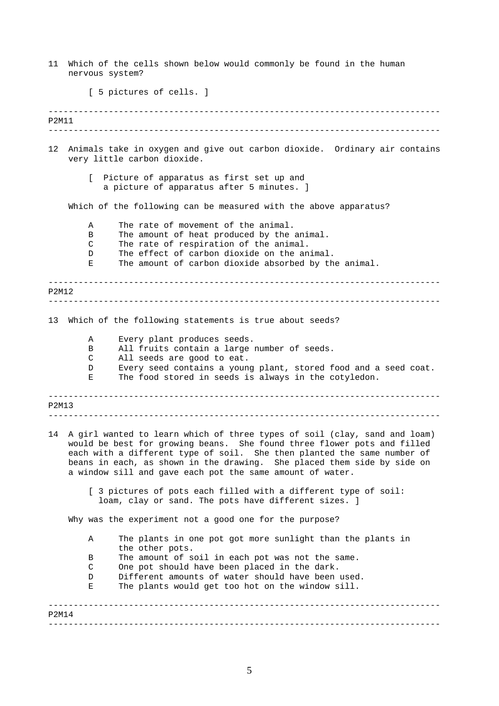| 11                       | Which of the cells shown below would commonly be found in the human<br>nervous system?     |                                                                                                                                                                                                                                                                                                                                                                                                                                                                                                       |  |  |  |  |  |  |  |
|--------------------------|--------------------------------------------------------------------------------------------|-------------------------------------------------------------------------------------------------------------------------------------------------------------------------------------------------------------------------------------------------------------------------------------------------------------------------------------------------------------------------------------------------------------------------------------------------------------------------------------------------------|--|--|--|--|--|--|--|
| [ 5 pictures of cells. ] |                                                                                            |                                                                                                                                                                                                                                                                                                                                                                                                                                                                                                       |  |  |  |  |  |  |  |
| P2M11                    |                                                                                            | -------------------------------                                                                                                                                                                                                                                                                                                                                                                                                                                                                       |  |  |  |  |  |  |  |
|                          |                                                                                            |                                                                                                                                                                                                                                                                                                                                                                                                                                                                                                       |  |  |  |  |  |  |  |
| 12 <sup>°</sup>          |                                                                                            | Animals take in oxygen and give out carbon dioxide. Ordinary air contains<br>very little carbon dioxide.                                                                                                                                                                                                                                                                                                                                                                                              |  |  |  |  |  |  |  |
|                          | L<br>Picture of apparatus as first set up and<br>a picture of apparatus after 5 minutes. ] |                                                                                                                                                                                                                                                                                                                                                                                                                                                                                                       |  |  |  |  |  |  |  |
|                          |                                                                                            | Which of the following can be measured with the above apparatus?                                                                                                                                                                                                                                                                                                                                                                                                                                      |  |  |  |  |  |  |  |
|                          | Α<br>B<br>С<br>D<br>Е                                                                      | The rate of movement of the animal.<br>The amount of heat produced by the animal.<br>The rate of respiration of the animal.<br>The effect of carbon dioxide on the animal.<br>The amount of carbon dioxide absorbed by the animal.                                                                                                                                                                                                                                                                    |  |  |  |  |  |  |  |
| P2M12                    |                                                                                            |                                                                                                                                                                                                                                                                                                                                                                                                                                                                                                       |  |  |  |  |  |  |  |
| 13                       |                                                                                            | Which of the following statements is true about seeds?                                                                                                                                                                                                                                                                                                                                                                                                                                                |  |  |  |  |  |  |  |
|                          | Α<br>B<br>С<br>D<br>Е                                                                      | Every plant produces seeds.<br>All fruits contain a large number of seeds.<br>All seeds are good to eat.<br>Every seed contains a young plant, stored food and a seed coat.<br>The food stored in seeds is always in the cotyledon.                                                                                                                                                                                                                                                                   |  |  |  |  |  |  |  |
| P2M13                    |                                                                                            |                                                                                                                                                                                                                                                                                                                                                                                                                                                                                                       |  |  |  |  |  |  |  |
|                          |                                                                                            | 14 A girl wanted to learn which of three types of soil (clay, sand and loam)<br>would be best for growing beans. She found three flower pots and filled<br>each with a different type of soil. She then planted the same number of<br>beans in each, as shown in the drawing. She placed them side by side on<br>a window sill and gave each pot the same amount of water.<br>[ 3 pictures of pots each filled with a different type of soil:<br>loam, clay or sand. The pots have different sizes. ] |  |  |  |  |  |  |  |
|                          |                                                                                            | Why was the experiment not a good one for the purpose?                                                                                                                                                                                                                                                                                                                                                                                                                                                |  |  |  |  |  |  |  |
|                          | Α                                                                                          | The plants in one pot got more sunlight than the plants in<br>the other pots.                                                                                                                                                                                                                                                                                                                                                                                                                         |  |  |  |  |  |  |  |
|                          | B                                                                                          | The amount of soil in each pot was not the same.                                                                                                                                                                                                                                                                                                                                                                                                                                                      |  |  |  |  |  |  |  |
|                          | С<br>D                                                                                     | One pot should have been placed in the dark.<br>Different amounts of water should have been used.                                                                                                                                                                                                                                                                                                                                                                                                     |  |  |  |  |  |  |  |
|                          | Е                                                                                          | The plants would get too hot on the window sill.                                                                                                                                                                                                                                                                                                                                                                                                                                                      |  |  |  |  |  |  |  |
| P2M14                    |                                                                                            |                                                                                                                                                                                                                                                                                                                                                                                                                                                                                                       |  |  |  |  |  |  |  |

5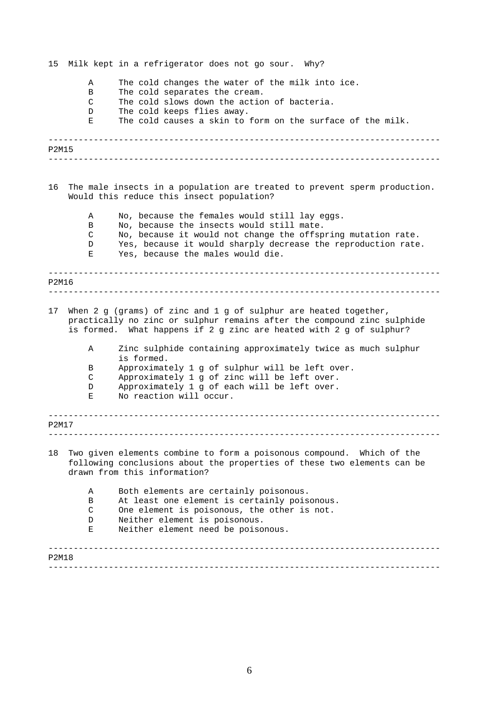------------------------------------------------------------------------------ ------------------------------------------------------------------------------ ------------------------------------------------------------------------------ ------------------------------------------------------------------------------ ------------------------------------------------------------------------------ ------------------------------------------------------------------------------ ------------------------------------------------------------------------------ ------------------------------------------------------------------------------ 15 Milk kept in a refrigerator does not go sour. Why? A The cold changes the water of the milk into ice. B The cold separates the cream. C The cold slows down the action of bacteria. D The cold keeps flies away. E The cold causes a skin to form on the surface of the milk. P2M15 16 The male insects in a population are treated to prevent sperm production. Would this reduce this insect population? A No, because the females would still lay eggs. B No, because the insects would still mate. C No, because it would not change the offspring mutation rate. D Yes, because it would sharply decrease the reproduction rate. E Yes, because the males would die. P2M16 17 When 2 g (grams) of zinc and 1 g of sulphur are heated together, practically no zinc or sulphur remains after the compound zinc sulphide is formed. What happens if 2 g zinc are heated with 2 g of sulphur? A Zinc sulphide containing approximately twice as much sulphur is formed. B Approximately 1 g of sulphur will be left over. C Approximately 1 g of zinc will be left over. D Approximately 1 g of each will be left over. E No reaction will occur. P2M17 18 Two given elements combine to form a poisonous compound. Which of the following conclusions about the properties of these two elements can be drawn from this information? A Both elements are certainly poisonous. B At least one element is certainly poisonous. C One element is poisonous, the other is not. D Neither element is poisonous. E Neither element need be poisonous. P2M18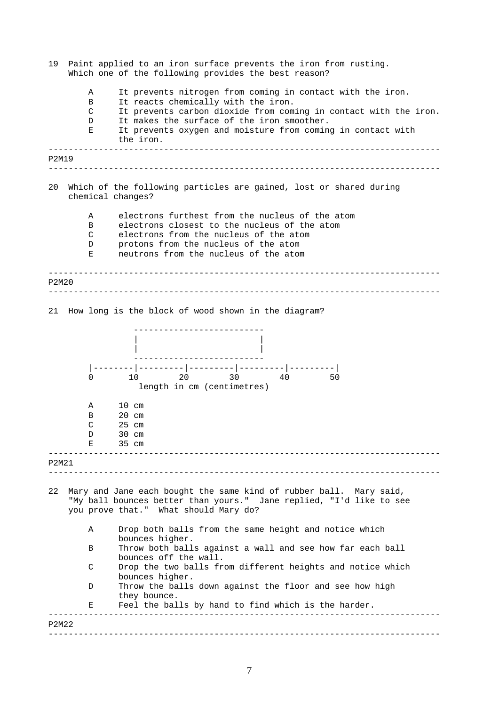| 19    |                       | Paint applied to an iron surface prevents the iron from rusting.<br>Which one of the following provides the best reason?                                                                                                                                                                        |
|-------|-----------------------|-------------------------------------------------------------------------------------------------------------------------------------------------------------------------------------------------------------------------------------------------------------------------------------------------|
|       | Α<br>B<br>C<br>D<br>Е | It prevents nitrogen from coming in contact with the iron.<br>It reacts chemically with the iron.<br>It prevents carbon dioxide from coming in contact with the iron.<br>It makes the surface of the iron smoother.<br>It prevents oxygen and moisture from coming in contact with<br>the iron. |
| P2M19 |                       |                                                                                                                                                                                                                                                                                                 |
| 20    |                       | Which of the following particles are gained, lost or shared during<br>chemical changes?                                                                                                                                                                                                         |
|       | Α<br>B<br>C<br>D<br>Е | electrons furthest from the nucleus of the atom<br>electrons closest to the nucleus of the atom<br>electrons from the nucleus of the atom<br>protons from the nucleus of the atom<br>neutrons from the nucleus of the atom                                                                      |
| P2M20 |                       |                                                                                                                                                                                                                                                                                                 |
|       |                       | 21 How long is the block of wood shown in the diagram?                                                                                                                                                                                                                                          |
|       | 0                     | 20 20<br>$30 -$<br>10<br>40 — 10<br>50<br>length in cm (centimetres)                                                                                                                                                                                                                            |
|       | Α<br>В<br>С<br>D<br>Е | $10 \text{ cm}$<br>$20 \text{ cm}$<br>$25$ cm<br>30 cm<br>35 cm                                                                                                                                                                                                                                 |
| P2M21 |                       |                                                                                                                                                                                                                                                                                                 |
| 22    |                       | Mary and Jane each bought the same kind of rubber ball. Mary said,<br>"My ball bounces better than yours." Jane replied, "I'd like to see<br>you prove that." What should Mary do?                                                                                                              |
|       | Α                     | Drop both balls from the same height and notice which<br>bounces higher.                                                                                                                                                                                                                        |
|       | Β                     | Throw both balls against a wall and see how far each ball<br>bounces off the wall.                                                                                                                                                                                                              |
|       | C                     | Drop the two balls from different heights and notice which<br>bounces higher.                                                                                                                                                                                                                   |
|       | D                     | Throw the balls down against the floor and see how high<br>they bounce.                                                                                                                                                                                                                         |
|       | Е                     | Feel the balls by hand to find which is the harder.                                                                                                                                                                                                                                             |
| P2M22 |                       |                                                                                                                                                                                                                                                                                                 |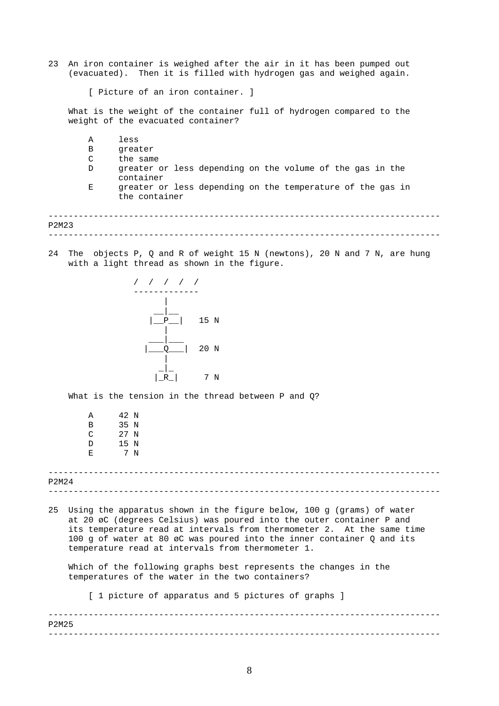23 An iron container is weighed after the air in it has been pumped out (evacuated). Then it is filled with hydrogen gas and weighed again.

[ Picture of an iron container. ]

What is the weight of the container full of hydrogen compared to the weight of the evacuated container?

| Α | less                                                                        |
|---|-----------------------------------------------------------------------------|
| B | qreater                                                                     |
| C | the same                                                                    |
| D | greater or less depending on the volume of the gas in the<br>container      |
| Е | greater or less depending on the temperature of the gas in<br>the container |
|   |                                                                             |

------------------------------------------------------------------------------ P2M23

24 The objects P, Q and R of weight 15 N (newtons), 20 N and 7 N, are hung with a light thread as shown in the figure.



What is the tension in the thread between P and Q?

| Α | 42 N |     |
|---|------|-----|
| в | 35 N |     |
| C | 27 N |     |
| D | 15 N |     |
| Ε |      | 7 N |

------------------------------------------------------------------------------ ------------------------------------------------------------------------------ P2M24

25 Using the apparatus shown in the figure below, 100 g (grams) of water at 20 øC (degrees Celsius) was poured into the outer container P and its temperature read at intervals from thermometer 2. At the same time 100 g of water at 80 øC was poured into the inner container Q and its temperature read at intervals from thermometer 1.

Which of the following graphs best represents the changes in the temperatures of the water in the two containers?

[ 1 picture of apparatus and 5 pictures of graphs ]

------------------------------------------------------------------------------ ------------------------------------------------------------------------------ P2M25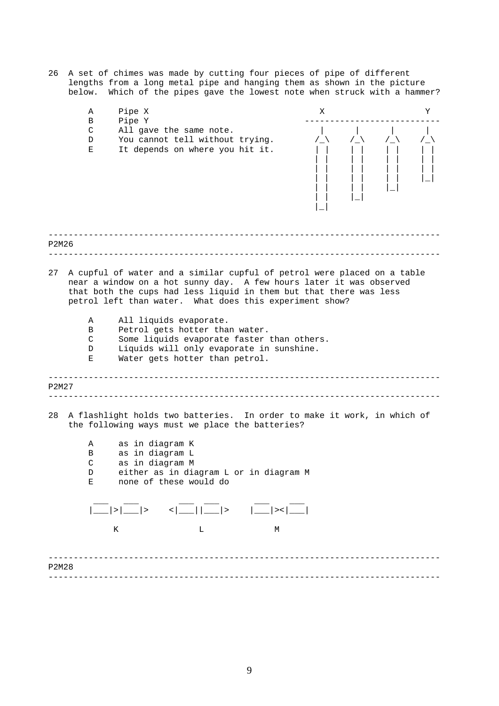26 A set of chimes was made by cutting four pieces of pipe of different lengths from a long metal pipe and hanging them as shown in the picture below. Which of the pipes gave the lowest note when struck with a hammer?

|       | Α<br>В                                                                                                                                                                                                                                                                          | Pipe X<br>Pipe Y                   | Χ                                                                                                                                                                                                                                                                                                                                                                                                                                                                                    |   |      |  |   |  |  |  |
|-------|---------------------------------------------------------------------------------------------------------------------------------------------------------------------------------------------------------------------------------------------------------------------------------|------------------------------------|--------------------------------------------------------------------------------------------------------------------------------------------------------------------------------------------------------------------------------------------------------------------------------------------------------------------------------------------------------------------------------------------------------------------------------------------------------------------------------------|---|------|--|---|--|--|--|
|       | C<br>D<br>Ε                                                                                                                                                                                                                                                                     |                                    | All gave the same note.<br>You cannot tell without trying.<br>It depends on where you hit it.                                                                                                                                                                                                                                                                                                                                                                                        |   | /_\_ |  | / |  |  |  |
| P2M26 |                                                                                                                                                                                                                                                                                 |                                    |                                                                                                                                                                                                                                                                                                                                                                                                                                                                                      |   |      |  |   |  |  |  |
| 27    | A cupful of water and a similar cupful of petrol were placed on a table<br>near a window on a hot sunny day. A few hours later it was observed<br>that both the cups had less liquid in them but that there was less<br>petrol left than water. What does this experiment show? |                                    |                                                                                                                                                                                                                                                                                                                                                                                                                                                                                      |   |      |  |   |  |  |  |
|       | Α                                                                                                                                                                                                                                                                               |                                    | All liquids evaporate.                                                                                                                                                                                                                                                                                                                                                                                                                                                               |   |      |  |   |  |  |  |
|       | В<br>C                                                                                                                                                                                                                                                                          |                                    | Petrol gets hotter than water.<br>Some liquids evaporate faster than others.                                                                                                                                                                                                                                                                                                                                                                                                         |   |      |  |   |  |  |  |
|       | Liquids will only evaporate in sunshine.<br>D<br>Water gets hotter than petrol.<br>Ε                                                                                                                                                                                            |                                    |                                                                                                                                                                                                                                                                                                                                                                                                                                                                                      |   |      |  |   |  |  |  |
| P2M27 |                                                                                                                                                                                                                                                                                 |                                    |                                                                                                                                                                                                                                                                                                                                                                                                                                                                                      |   |      |  |   |  |  |  |
| 28    |                                                                                                                                                                                                                                                                                 |                                    | A flashlight holds two batteries. In order to make it work, in which of<br>the following ways must we place the batteries?                                                                                                                                                                                                                                                                                                                                                           |   |      |  |   |  |  |  |
|       | Α                                                                                                                                                                                                                                                                               | as in diagram K                    |                                                                                                                                                                                                                                                                                                                                                                                                                                                                                      |   |      |  |   |  |  |  |
|       | В<br>$\mathsf C$                                                                                                                                                                                                                                                                | as in diagram L<br>as in diagram M |                                                                                                                                                                                                                                                                                                                                                                                                                                                                                      |   |      |  |   |  |  |  |
|       | D                                                                                                                                                                                                                                                                               |                                    | either as in diagram L or in diagram M                                                                                                                                                                                                                                                                                                                                                                                                                                               |   |      |  |   |  |  |  |
|       | Е                                                                                                                                                                                                                                                                               |                                    | none of these would do                                                                                                                                                                                                                                                                                                                                                                                                                                                               |   |      |  |   |  |  |  |
|       |                                                                                                                                                                                                                                                                                 |                                    | $ \frac{1}{2} \times \frac{1}{2} \times  \times \times \frac{1}{2} \times \frac{1}{2} \times \frac{1}{2} \times \frac{1}{2} \times \frac{1}{2} \times \frac{1}{2} \times \frac{1}{2} \times \frac{1}{2} \times \frac{1}{2} \times \frac{1}{2} \times \frac{1}{2} \times \frac{1}{2} \times \frac{1}{2} \times \frac{1}{2} \times \frac{1}{2} \times \frac{1}{2} \times \frac{1}{2} \times \frac{1}{2} \times \frac{1}{2} \times \frac{1}{2} \times \frac{1}{2} \times \frac{1}{2} \$ |   |      |  |   |  |  |  |
|       |                                                                                                                                                                                                                                                                                 | К                                  | L                                                                                                                                                                                                                                                                                                                                                                                                                                                                                    | М |      |  |   |  |  |  |
| P2M28 |                                                                                                                                                                                                                                                                                 |                                    |                                                                                                                                                                                                                                                                                                                                                                                                                                                                                      |   |      |  |   |  |  |  |
|       |                                                                                                                                                                                                                                                                                 |                                    |                                                                                                                                                                                                                                                                                                                                                                                                                                                                                      |   |      |  |   |  |  |  |